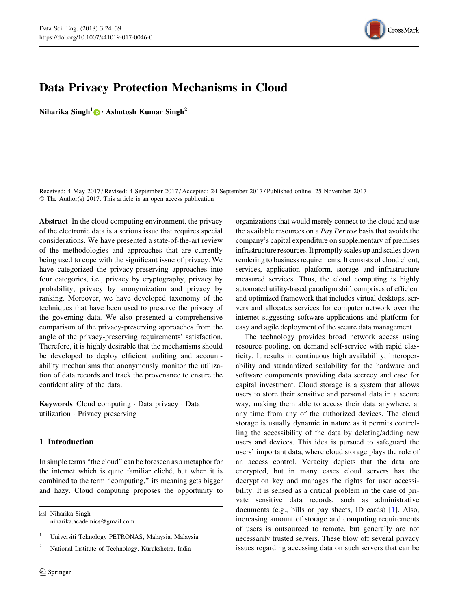

# Data Privacy Protection Mechanisms in Cloud

Niharika Singh<sup>1</sup> [•](http://orcid.org/0000-0003-3104-8405) Ashutosh Kumar Singh<sup>2</sup>

Received: 4 May 2017 / Revised: 4 September 2017 / Accepted: 24 September 2017 / Published online: 25 November 2017 © The Author(s) 2017. This article is an open access publication

Abstract In the cloud computing environment, the privacy of the electronic data is a serious issue that requires special considerations. We have presented a state-of-the-art review of the methodologies and approaches that are currently being used to cope with the significant issue of privacy. We have categorized the privacy-preserving approaches into four categories, i.e., privacy by cryptography, privacy by probability, privacy by anonymization and privacy by ranking. Moreover, we have developed taxonomy of the techniques that have been used to preserve the privacy of the governing data. We also presented a comprehensive comparison of the privacy-preserving approaches from the angle of the privacy-preserving requirements' satisfaction. Therefore, it is highly desirable that the mechanisms should be developed to deploy efficient auditing and accountability mechanisms that anonymously monitor the utilization of data records and track the provenance to ensure the confidentiality of the data.

Keywords Cloud computing - Data privacy - Data utilization - Privacy preserving

# 1 Introduction

In simple terms ''the cloud'' can be foreseen as a metaphor for the internet which is quite familiar cliché, but when it is combined to the term ''computing,'' its meaning gets bigger and hazy. Cloud computing proposes the opportunity to

 $\boxtimes$  Niharika Singh niharika.academics@gmail.com organizations that would merely connect to the cloud and use the available resources on a Pay Per use basis that avoids the company's capital expenditure on supplementary of premises infrastructure resources. It promptly scales up and scales down rendering to business requirements. It consists of cloud client, services, application platform, storage and infrastructure measured services. Thus, the cloud computing is highly automated utility-based paradigm shift comprises of efficient and optimized framework that includes virtual desktops, servers and allocates services for computer network over the internet suggesting software applications and platform for easy and agile deployment of the secure data management.

The technology provides broad network access using resource pooling, on demand self-service with rapid elasticity. It results in continuous high availability, interoperability and standardized scalability for the hardware and software components providing data secrecy and ease for capital investment. Cloud storage is a system that allows users to store their sensitive and personal data in a secure way, making them able to access their data anywhere, at any time from any of the authorized devices. The cloud storage is usually dynamic in nature as it permits controlling the accessibility of the data by deleting/adding new users and devices. This idea is pursued to safeguard the users' important data, where cloud storage plays the role of an access control. Veracity depicts that the data are encrypted, but in many cases cloud servers has the decryption key and manages the rights for user accessibility. It is sensed as a critical problem in the case of private sensitive data records, such as administrative documents (e.g., bills or pay sheets, ID cards) [[1](#page-14-0)]. Also, increasing amount of storage and computing requirements of users is outsourced to remote, but generally are not necessarily trusted servers. These blow off several privacy issues regarding accessing data on such servers that can be

<sup>&</sup>lt;sup>1</sup> Universiti Teknology PETRONAS, Malaysia, Malaysia

<sup>2</sup> National Institute of Technology, Kurukshetra, India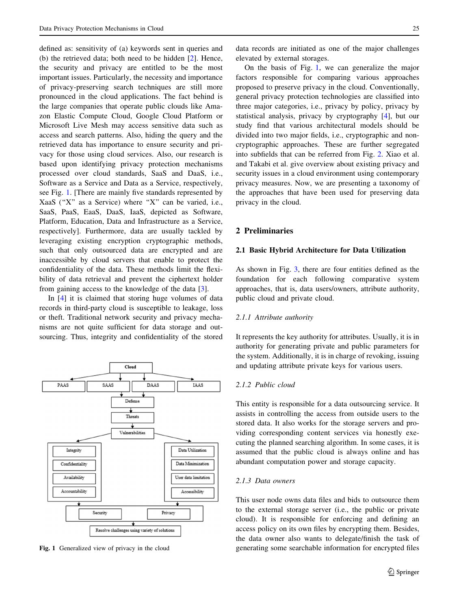defined as: sensitivity of (a) keywords sent in queries and (b) the retrieved data; both need to be hidden [[2\]](#page-14-0). Hence, the security and privacy are entitled to be the most important issues. Particularly, the necessity and importance of privacy-preserving search techniques are still more pronounced in the cloud applications. The fact behind is the large companies that operate public clouds like Amazon Elastic Compute Cloud, Google Cloud Platform or Microsoft Live Mesh may access sensitive data such as access and search patterns. Also, hiding the query and the retrieved data has importance to ensure security and privacy for those using cloud services. Also, our research is based upon identifying privacy protection mechanisms processed over cloud standards, SaaS and DaaS, i.e., Software as a Service and Data as a Service, respectively, see Fig. 1. [There are mainly five standards represented by XaaS (''X'' as a Service) where ''X'' can be varied, i.e., SaaS, PaaS, EaaS, DaaS, IaaS, depicted as Software, Platform, Education, Data and Infrastructure as a Service, respectively]. Furthermore, data are usually tackled by leveraging existing encryption cryptographic methods, such that only outsourced data are encrypted and are inaccessible by cloud servers that enable to protect the confidentiality of the data. These methods limit the flexibility of data retrieval and prevent the ciphertext holder from gaining access to the knowledge of the data [[3\]](#page-14-0).

In [\[4](#page-14-0)] it is claimed that storing huge volumes of data records in third-party cloud is susceptible to leakage, loss or theft. Traditional network security and privacy mechanisms are not quite sufficient for data storage and outsourcing. Thus, integrity and confidentiality of the stored



data records are initiated as one of the major challenges elevated by external storages.

On the basis of Fig. 1, we can generalize the major factors responsible for comparing various approaches proposed to preserve privacy in the cloud. Conventionally, general privacy protection technologies are classified into three major categories, i.e., privacy by policy, privacy by statistical analysis, privacy by cryptography [\[4](#page-14-0)], but our study find that various architectural models should be divided into two major fields, i.e., cryptographic and noncryptographic approaches. These are further segregated into subfields that can be referred from Fig. [2.](#page-2-0) Xiao et al. and Takabi et al. give overview about existing privacy and security issues in a cloud environment using contemporary privacy measures. Now, we are presenting a taxonomy of the approaches that have been used for preserving data privacy in the cloud.

## 2 Preliminaries

#### 2.1 Basic Hybrid Architecture for Data Utilization

As shown in Fig. [3,](#page-2-0) there are four entities defined as the foundation for each following comparative system approaches, that is, data users/owners, attribute authority, public cloud and private cloud.

#### 2.1.1 Attribute authority

It represents the key authority for attributes. Usually, it is in authority for generating private and public parameters for the system. Additionally, it is in charge of revoking, issuing and updating attribute private keys for various users.

## 2.1.2 Public cloud

This entity is responsible for a data outsourcing service. It assists in controlling the access from outside users to the stored data. It also works for the storage servers and providing corresponding content services via honestly executing the planned searching algorithm. In some cases, it is assumed that the public cloud is always online and has abundant computation power and storage capacity.

# 2.1.3 Data owners

This user node owns data files and bids to outsource them to the external storage server (i.e., the public or private cloud). It is responsible for enforcing and defining an access policy on its own files by encrypting them. Besides, the data owner also wants to delegate/finish the task of Fig. 1 Generalized view of privacy in the cloud generating some searchable information for encrypted files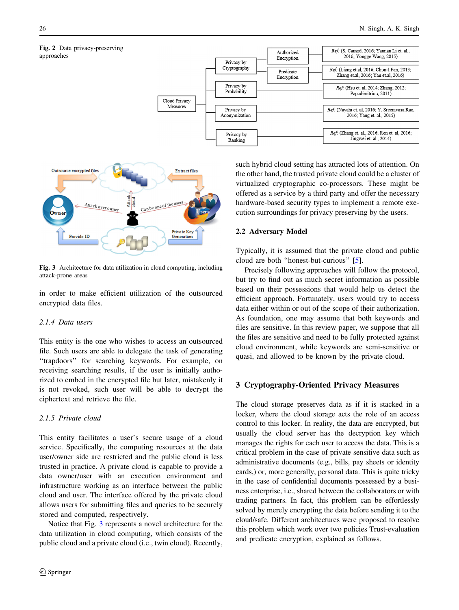<span id="page-2-0"></span>



Fig. 3 Architecture for data utilization in cloud computing, including attack-prone areas

in order to make efficient utilization of the outsourced encrypted data files.

## 2.1.4 Data users

This entity is the one who wishes to access an outsourced file. Such users are able to delegate the task of generating ''trapdoors'' for searching keywords. For example, on receiving searching results, if the user is initially authorized to embed in the encrypted file but later, mistakenly it is not revoked, such user will be able to decrypt the ciphertext and retrieve the file.

## 2.1.5 Private cloud

This entity facilitates a user's secure usage of a cloud service. Specifically, the computing resources at the data user/owner side are restricted and the public cloud is less trusted in practice. A private cloud is capable to provide a data owner/user with an execution environment and infrastructure working as an interface between the public cloud and user. The interface offered by the private cloud allows users for submitting files and queries to be securely stored and computed, respectively.

Notice that Fig. 3 represents a novel architecture for the data utilization in cloud computing, which consists of the public cloud and a private cloud (i.e., twin cloud). Recently,

such hybrid cloud setting has attracted lots of attention. On the other hand, the trusted private cloud could be a cluster of virtualized cryptographic co-processors. These might be offered as a service by a third party and offer the necessary hardware-based security types to implement a remote execution surroundings for privacy preserving by the users.

## 2.2 Adversary Model

Typically, it is assumed that the private cloud and public cloud are both ''honest-but-curious'' [\[5](#page-14-0)].

Precisely following approaches will follow the protocol, but try to find out as much secret information as possible based on their possessions that would help us detect the efficient approach. Fortunately, users would try to access data either within or out of the scope of their authorization. As foundation, one may assume that both keywords and files are sensitive. In this review paper, we suppose that all the files are sensitive and need to be fully protected against cloud environment, while keywords are semi-sensitive or quasi, and allowed to be known by the private cloud.

# 3 Cryptography-Oriented Privacy Measures

The cloud storage preserves data as if it is stacked in a locker, where the cloud storage acts the role of an access control to this locker. In reality, the data are encrypted, but usually the cloud server has the decryption key which manages the rights for each user to access the data. This is a critical problem in the case of private sensitive data such as administrative documents (e.g., bills, pay sheets or identity cards,) or, more generally, personal data. This is quite tricky in the case of confidential documents possessed by a business enterprise, i.e., shared between the collaborators or with trading partners. In fact, this problem can be effortlessly solved by merely encrypting the data before sending it to the cloud/safe. Different architectures were proposed to resolve this problem which work over two policies Trust-evaluation and predicate encryption, explained as follows.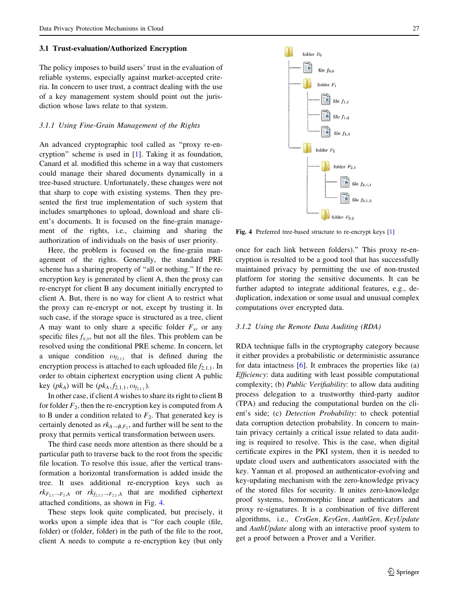#### 3.1 Trust-evaluation/Authorized Encryption

The policy imposes to build users' trust in the evaluation of reliable systems, especially against market-accepted criteria. In concern to user trust, a contract dealing with the use of a key management system should point out the jurisdiction whose laws relate to that system.

#### 3.1.1 Using Fine-Grain Management of the Rights

An advanced cryptographic tool called as ''proxy re-encryption'' scheme is used in [[1\]](#page-14-0). Taking it as foundation, Canard et al. modified this scheme in a way that customers could manage their shared documents dynamically in a tree-based structure. Unfortunately, these changes were not that sharp to cope with existing systems. Then they presented the first true implementation of such system that includes smartphones to upload, download and share client's documents. It is focused on the fine-grain management of the rights, i.e., claiming and sharing the authorization of individuals on the basis of user priority.

Here, the problem is focused on the fine-grain management of the rights. Generally, the standard PRE scheme has a sharing property of ''all or nothing.'' If the reencryption key is generated by client A, then the proxy can re-encrypt for client B any document initially encrypted to client A. But, there is no way for client A to restrict what the proxy can re-encrypt or not, except by trusting it. In such case, if the storage space is structured as a tree, client A may want to only share a specific folder  $F_x$ , or any specific files  $f_{x,y}$ , but not all the files. This problem can be resolved using the conditional PRE scheme. In concern, let a unique condition  $\omega_{f_{2,1,1}}$  that is defined during the encryption process is attached to each uploaded file  $f_{2,1,1}$ . In order to obtain ciphertext encryption using client A public key  $(pk_A)$  will be  $(pk_A, f_{2,1,1}, \omega_{f_{2,1,1}})$ .

In other case, if client A wishes to share its right to client B for folder  $F_2$ , then the re-encryption key is computed from A to B under a condition related to  $F_2$ . That generated key is certainly denoted as  $rk_{A\rightarrow B,F_2}$ , and further will be sent to the proxy that permits vertical transformation between users.

The third case needs more attention as there should be a particular path to traverse back to the root from the specific file location. To resolve this issue, after the vertical transformation a horizontal transformation is added inside the tree. It uses additional re-encryption keys such as  $rk_{F_{2,1}\to F_{2},A}$  or  $rk_{f_{2,1,1}\to F_{2,1},A}$  that are modified ciphertext attached conditions, as shown in Fig. 4.

These steps look quite complicated, but precisely, it works upon a simple idea that is ''for each couple (file, folder) or (folder, folder) in the path of the file to the root, client A needs to compute a re-encryption key (but only



Fig. 4 Preferred tree-based structure to re-encrypt keys [\[1\]](#page-14-0)

once for each link between folders).'' This proxy re-encryption is resulted to be a good tool that has successfully maintained privacy by permitting the use of non-trusted platform for storing the sensitive documents. It can be further adapted to integrate additional features, e.g., deduplication, indexation or some usual and unusual complex computations over encrypted data.

## 3.1.2 Using the Remote Data Auditing (RDA)

RDA technique falls in the cryptography category because it either provides a probabilistic or deterministic assurance for data intactness  $[6]$  $[6]$ . It embraces the properties like  $(a)$ Efficiency: data auditing with least possible computational complexity; (b) Public Verifiability: to allow data auditing process delegation to a trustworthy third-party auditor (TPA) and reducing the computational burden on the client's side; (c) Detection Probability: to check potential data corruption detection probability. In concern to maintain privacy certainly a critical issue related to data auditing is required to resolve. This is the case, when digital certificate expires in the PKI system, then it is needed to update cloud users and authenticators associated with the key. Yannan et al. proposed an authenticator-evolving and key-updating mechanism with the zero-knowledge privacy of the stored files for security. It unites zero-knowledge proof systems, homomorphic linear authenticators and proxy re-signatures. It is a combination of five different algorithms, i.e., CrsGen, KeyGen, AuthGen, KeyUpdate and AuthUpdate along with an interactive proof system to get a proof between a Prover and a Verifier.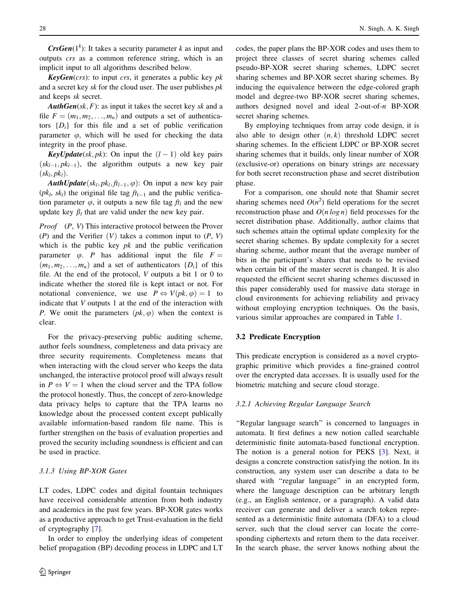**CrsGen**( $1<sup>k</sup>$ ): It takes a security parameter k as input and outputs crs as a common reference string, which is an implicit input to all algorithms described below.

**KeyGen**(crs): to input crs, it generates a public key  $pk$ and a secret key sk for the cloud user. The user publishes  $pk$ and keeps sk secret.

**AuthGen**(sk, F): as input it takes the secret key sk and a file  $F = (m_1, m_2, \ldots, m_n)$  and outputs a set of authenticators  $\{D_i\}$  for this file and a set of public verification parameter  $\varphi$ , which will be used for checking the data integrity in the proof phase.

**KeyUpdate**(sk, pk): On input the  $(l - 1)$  old key pairs  $(sk_{l-1}, pk_{l-1})$ , the algorithm outputs a new key pair  $(\mathit{sk}_l, \mathit{pk}_l).$ 

**AuthUpdate** $(sk_l, pk_l, ft_{l-1}, \varphi)$ : On input a new key pair  $(pk_l, sk_l)$  the original file tag  $ft_{l-1}$  and the public verification parameter  $\varphi$ , it outputs a new file tag  $ft_l$  and the new update key  $\beta_l$  that are valid under the new key pair.

Proof (P, V) This interactive protocol between the Prover (P) and the Verifier  $(V)$  takes a common input to  $(P, V)$ which is the public key  $pk$  and the public verification parameter  $\varphi$ . P has additional input the file  $F =$  $(m_1, m_2, \ldots, m_n)$  and a set of authenticators  $\{D_i\}$  of this file. At the end of the protocol, V outputs a bit 1 or 0 to indicate whether the stored file is kept intact or not. For notational convenience, we use  $P \Leftrightarrow V(pk, \varphi) = 1$  to indicate that V outputs 1 at the end of the interaction with P. We omit the parameters  $(pk, \varphi)$  when the context is clear.

For the privacy-preserving public auditing scheme, author feels soundness, completeness and data privacy are three security requirements. Completeness means that when interacting with the cloud server who keeps the data unchanged, the interactive protocol proof will always result in  $P \Leftrightarrow V = 1$  when the cloud server and the TPA follow the protocol honestly. Thus, the concept of zero-knowledge data privacy helps to capture that the TPA learns no knowledge about the processed content except publically available information-based random file name. This is further strengthen on the basis of evaluation properties and proved the security including soundness is efficient and can be used in practice.

#### 3.1.3 Using BP-XOR Gates

LT codes, LDPC codes and digital fountain techniques have received considerable attention from both industry and academics in the past few years. BP-XOR gates works as a productive approach to get Trust-evaluation in the field of cryptography [[7\]](#page-14-0).

In order to employ the underlying ideas of competent belief propagation (BP) decoding process in LDPC and LT codes, the paper plans the BP-XOR codes and uses them to project three classes of secret sharing schemes called pseudo-BP-XOR secret sharing schemes, LDPC secret sharing schemes and BP-XOR secret sharing schemes. By inducing the equivalence between the edge-colored graph model and degree-two BP-XOR secret sharing schemes, authors designed novel and ideal 2-out-of-n BP-XOR secret sharing schemes.

By employing techniques from array code design, it is also able to design other  $(n, k)$  threshold LDPC secret sharing schemes. In the efficient LDPC or BP-XOR secret sharing schemes that it builds, only linear number of XOR (exclusive-or) operations on binary strings are necessary for both secret reconstruction phase and secret distribution phase.

For a comparison, one should note that Shamir secret sharing schemes need  $O(n^2)$  field operations for the secret reconstruction phase and  $O(n \log n)$  field processes for the secret distribution phase. Additionally, author claims that such schemes attain the optimal update complexity for the secret sharing schemes. By update complexity for a secret sharing scheme, author meant that the average number of bits in the participant's shares that needs to be revised when certain bit of the master secret is changed. It is also requested the efficient secret sharing schemes discussed in this paper considerably used for massive data storage in cloud environments for achieving reliability and privacy without employing encryption techniques. On the basis, various similar approaches are compared in Table [1](#page-5-0).

### 3.2 Predicate Encryption

This predicate encryption is considered as a novel cryptographic primitive which provides a fine-grained control over the encrypted data accesses. It is usually used for the biometric matching and secure cloud storage.

#### 3.2.1 Achieving Regular Language Search

"Regular language search" is concerned to languages in automata. It first defines a new notion called searchable deterministic finite automata-based functional encryption. The notion is a general notion for PEKS [\[3](#page-14-0)]. Next, it designs a concrete construction satisfying the notion. In its construction, any system user can describe a data to be shared with ''regular language'' in an encrypted form, where the language description can be arbitrary length (e.g., an English sentence, or a paragraph). A valid data receiver can generate and deliver a search token represented as a deterministic finite automata (DFA) to a cloud server, such that the cloud server can locate the corresponding ciphertexts and return them to the data receiver. In the search phase, the server knows nothing about the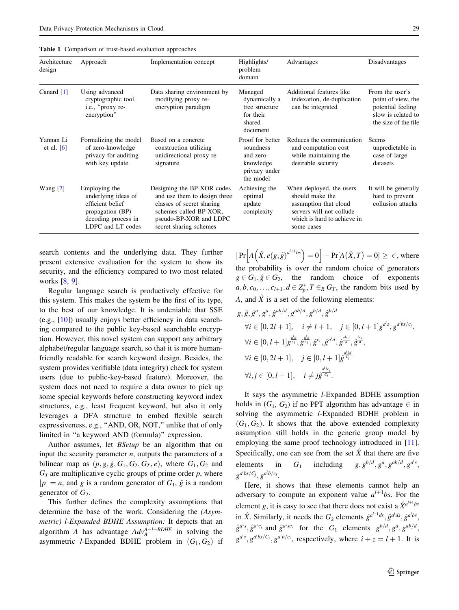<span id="page-5-0"></span>

|  |  |  | <b>Table 1</b> Comparison of trust-based evaluation approaches |  |
|--|--|--|----------------------------------------------------------------|--|
|--|--|--|----------------------------------------------------------------|--|

| Architecture<br>design    | Approach                                                                                                                 | Implementation concept                                                                                                                                                | Highlights/<br>problem<br>domain                                                      | Advantages                                                                                                                                    | Disadvantages                                                                                            |
|---------------------------|--------------------------------------------------------------------------------------------------------------------------|-----------------------------------------------------------------------------------------------------------------------------------------------------------------------|---------------------------------------------------------------------------------------|-----------------------------------------------------------------------------------------------------------------------------------------------|----------------------------------------------------------------------------------------------------------|
| Canard $[1]$              | Using advanced<br>cryptographic tool,<br>i.e., "proxy re-<br>encryption"                                                 | Data sharing environment by<br>modifying proxy re-<br>encryption paradigm                                                                                             | Managed<br>dynamically a<br>tree structure<br>for their<br>shared<br>document         | Additional features like<br>indexation, de-duplication<br>can be integrated                                                                   | From the user's<br>point of view, the<br>potential feeling<br>slow is related to<br>the size of the file |
| Yannan Li<br>et al. $[6]$ | Formalizing the model<br>of zero-knowledge<br>privacy for auditing<br>with key update                                    | Based on a concrete<br>construction utilizing<br>unidirectional proxy re-<br>signature                                                                                | Proof for better<br>soundness<br>and zero-<br>knowledge<br>privacy under<br>the model | Reduces the communication<br>and computation cost<br>while maintaining the<br>desirable security                                              | Seems<br>unpredictable in<br>case of large<br>datasets                                                   |
| Wang $[7]$                | Employing the<br>underlying ideas of<br>efficient belief<br>propagation (BP)<br>decoding process in<br>LDPC and LT codes | Designing the BP-XOR codes<br>and use them to design three<br>classes of secret sharing<br>schemes called BP-XOR,<br>pseudo-BP-XOR and LDPC<br>secret sharing schemes | Achieving the<br>optimal<br>update<br>complexity                                      | When deployed, the users<br>should make the<br>assumption that cloud<br>servers will not collude<br>which is hard to achieve in<br>some cases | It will be generally<br>hard to prevent<br>collusion attacks                                             |

search contents and the underlying data. They further present extensive evaluation for the system to show its security, and the efficiency compared to two most related works [\[8,](#page-14-0) [9\]](#page-14-0).

Regular language search is productively effective for this system. This makes the system be the first of its type, to the best of our knowledge. It is undeniable that SSE (e.g., [[10\]](#page-14-0)) usually enjoys better efficiency in data searching compared to the public key-based searchable encryption. However, this novel system can support any arbitrary alphabet/regular language search, so that it is more humanfriendly readable for search keyword design. Besides, the system provides verifiable (data integrity) check for system users (due to public-key-based feature). Moreover, the system does not need to require a data owner to pick up some special keywords before constructing keyword index structures, e.g., least frequent keyword, but also it only leverages a DFA structure to embed flexible search expressiveness, e.g., ''AND, OR, NOT,'' unlike that of only limited in ''a keyword AND (formula)'' expression.

Author assumes, let BSetup be an algorithm that on input the security parameter  $n$ , outputs the parameters of a bilinear map as  $(p, g, \hat{g}, G_1, G_2, G_T, e)$ , where  $G_1, G_2$  and  $G_T$  are multiplicative cyclic groups of prime order p, where  $|p| = n$ , and g is a random generator of  $G_1$ ,  $\hat{g}$  is a random generator of  $G_2$ .

This further defines the complexity assumptions that determine the base of the work. Considering the (Asymmetric) l-Expanded BDHE Assumption: It depicts that an algorithm A has advantage  $Adv_A^{A-l-BDHE}$  in solving the asymmetric *l*-Expanded BDHE problem in  $(G_1, G_2)$  if

 $|\Pr[A(\hat{X}, e(g, \hat{g})^{a^{l+1}bs}] = 0] - \Pr[A(\hat{X}, T) = 0] \ge \infty$ , where the probability is over the random choice of generators  $g \in G_1, \hat{g} \in G_2$ , the random choice of exponents  $a, b, c_0, \ldots, c_{l+1}, d \in \mathbb{Z}_p^*, T \in_R G_T$ , the random bits used by A, and  $\hat{X}$  is a set of the following elements:

$$
g, \hat{g}, \hat{g}^{a}, g^{a}, \hat{g}^{ab/d}, g^{ab/d}, g^{b/d}, \hat{g}^{b/d}
$$
  
\n
$$
\forall i \in [0, 2l + 1], \quad i \neq l + 1, \quad j \in [0, l + 1]g^{a's}, g^{a'bs/c_j},
$$
  
\n
$$
\forall i \in [0, l + 1]g^{\frac{d}{c_i}}, \hat{g}^{\frac{d}{c_i}}, \hat{g}^{c_i}, \hat{g}^{a'd}, \hat{g}^{\frac{abc_i}{d}}, \hat{g}^{\frac{bc_i}{d}},
$$
  
\n
$$
\forall i \in [0, 2l + 1], \quad j \in [0, l + 1]\hat{g}^{\frac{a'bg}{c_j}}
$$
  
\n
$$
\forall i, j \in [0, l + 1], \quad i \neq j\hat{g}^{\frac{a'bcj}{c_i}}.
$$

It says the asymmetric l-Expanded BDHE assumption holds in  $(G_1, G_2)$  if no PPT algorithm has advantage  $\in$  in solving the asymmetric *l*-Expanded BDHE problem in  $(G_1, G_2)$ . It shows that the above extended complexity assumption still holds in the generic group model by employing the same proof technology introduced in [\[11](#page-14-0)]. Specifically, one can see from the set  $\hat{X}$  that there are five elements in  $G_1$  including  $g, g^{b/d}, g^a, g^{ab/d}, g^{a's}$ ,  $g^{a^i b s/C_j}, g^{a^i b/c_i}.$ 

Here, it shows that these elements cannot help an adversary to compute an exponent value  $a^{l+1}$ bs. For the element g, it is easy to see that there does not exist a  $\hat{X}^{a^{l+1}bs}$ in  $\hat{X}$ . Similarly, it needs the  $G_2$  elements  $\hat{g}^{a^{l+1}ds}, \hat{g}^{a^{l}ds}, \hat{g}^{a^{l}bs}$ ,  $\hat{g}^{a^z s}, \hat{g}^{a^z c_j}$  and  $\hat{g}^{a^z s c_i}$  for the  $G_1$  elements  $g^{b/d}, g^a, g^{ab/d},$  $g^{a^i s}, g^{a^i b s / C_j}, g^{a^i b / c_i}$ , respectively, where  $i + z = l + 1$ . It is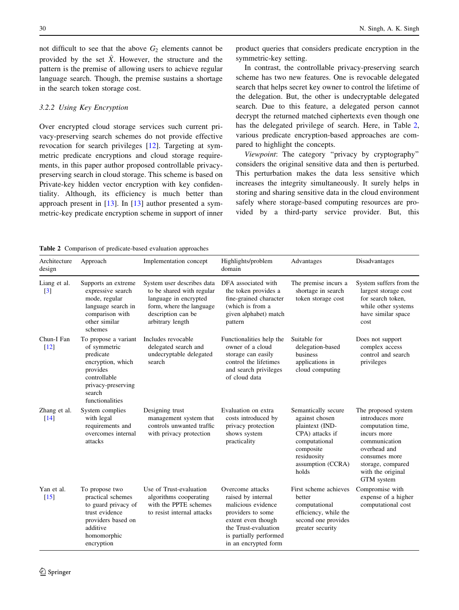not difficult to see that the above  $G_2$  elements cannot be provided by the set  $\hat{X}$ . However, the structure and the pattern is the premise of allowing users to achieve regular language search. Though, the premise sustains a shortage in the search token storage cost.

#### 3.2.2 Using Key Encryption

Over encrypted cloud storage services such current privacy-preserving search schemes do not provide effective revocation for search privileges [[12\]](#page-14-0). Targeting at symmetric predicate encryptions and cloud storage requirements, in this paper author proposed controllable privacypreserving search in cloud storage. This scheme is based on Private-key hidden vector encryption with key confidentiality. Although, its efficiency is much better than approach present in [[13](#page-14-0)]. In [\[13](#page-14-0)] author presented a symmetric-key predicate encryption scheme in support of inner

product queries that considers predicate encryption in the symmetric-key setting.

In contrast, the controllable privacy-preserving search scheme has two new features. One is revocable delegated search that helps secret key owner to control the lifetime of the delegation. But, the other is undecryptable delegated search. Due to this feature, a delegated person cannot decrypt the returned matched ciphertexts even though one has the delegated privilege of search. Here, in Table 2, various predicate encryption-based approaches are compared to highlight the concepts.

Viewpoint: The category ''privacy by cryptography'' considers the original sensitive data and then is perturbed. This perturbation makes the data less sensitive which increases the integrity simultaneously. It surely helps in storing and sharing sensitive data in the cloud environment safely where storage-based computing resources are provided by a third-party service provider. But, this

Table 2 Comparison of predicate-based evaluation approaches

| Architecture<br>design          | Approach                                                                                                                                              | Implementation concept                                                                                                                                 | Highlights/problem<br>domain                                                                                                                                                      | Advantages                                                                                                                                             | Disadvantages                                                                                                                                                                        |
|---------------------------------|-------------------------------------------------------------------------------------------------------------------------------------------------------|--------------------------------------------------------------------------------------------------------------------------------------------------------|-----------------------------------------------------------------------------------------------------------------------------------------------------------------------------------|--------------------------------------------------------------------------------------------------------------------------------------------------------|--------------------------------------------------------------------------------------------------------------------------------------------------------------------------------------|
| Liang et al.<br>$[3]$           | Supports an extreme<br>expressive search<br>mode, regular<br>language search in<br>comparison with<br>other similar<br>schemes                        | System user describes data<br>to be shared with regular<br>language in encrypted<br>form, where the language<br>description can be<br>arbitrary length | DFA associated with<br>the token provides a<br>fine-grained character<br>(which is from a<br>given alphabet) match<br>pattern                                                     | The premise incurs a<br>shortage in search<br>token storage cost                                                                                       | System suffers from the<br>largest storage cost<br>for search token,<br>while other systems<br>have similar space<br>cost                                                            |
| Chun-I Fan<br>$[12]$            | To propose a variant<br>of symmetric<br>predicate<br>encryption, which<br>provides<br>controllable<br>privacy-preserving<br>search<br>functionalities | Includes revocable<br>delegated search and<br>undecryptable delegated<br>search                                                                        | Functionalities help the<br>owner of a cloud<br>storage can easily<br>control the lifetimes<br>and search privileges<br>of cloud data                                             | Suitable for<br>delegation-based<br>business<br>applications in<br>cloud computing                                                                     | Does not support<br>complex access<br>control and search<br>privileges                                                                                                               |
| Zhang et al.<br>$[14]$          | System complies<br>with legal<br>requirements and<br>overcomes internal<br>attacks                                                                    | Designing trust<br>management system that<br>controls unwanted traffic<br>with privacy protection                                                      | Evaluation on extra<br>costs introduced by<br>privacy protection<br>shows system<br>practicality                                                                                  | Semantically secure<br>against chosen<br>plaintext (IND-<br>CPA) attacks if<br>computational<br>composite<br>residuosity<br>assumption (CCRA)<br>holds | The proposed system<br>introduces more<br>computation time,<br>incurs more<br>communication<br>overhead and<br>consumes more<br>storage, compared<br>with the original<br>GTM system |
| Yan et al.<br>$\left[15\right]$ | To propose two<br>practical schemes<br>to guard privacy of<br>trust evidence<br>providers based on<br>additive<br>homomorphic<br>encryption           | Use of Trust-evaluation<br>algorithms cooperating<br>with the PPTE schemes<br>to resist internal attacks                                               | Overcome attacks<br>raised by internal<br>malicious evidence<br>providers to some<br>extent even though<br>the Trust-evaluation<br>is partially performed<br>in an encrypted form | First scheme achieves<br>better<br>computational<br>efficiency, while the<br>second one provides<br>greater security                                   | Compromise with<br>expense of a higher<br>computational cost                                                                                                                         |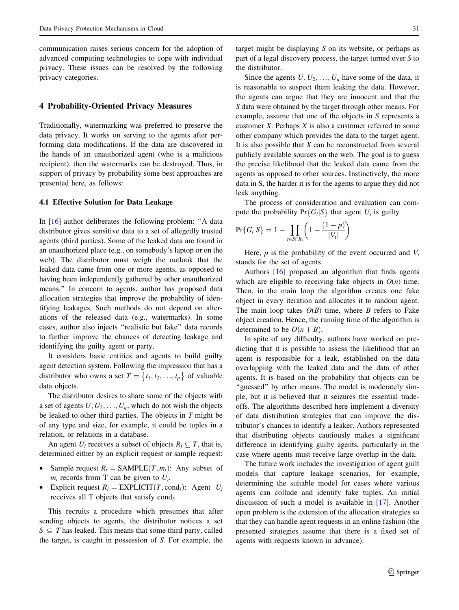communication raises serious concern for the adoption of advanced computing technologies to cope with individual privacy. These issues can be resolved by the following privacy categories.

#### 4 Probability-Oriented Privacy Measures

Traditionally, watermarking was preferred to preserve the data privacy. It works on serving to the agents after performing data modifications. If the data are discovered in the hands of an unauthorized agent (who is a malicious recipient), then the watermarks can be destroyed. Thus, in support of privacy by probability some best approaches are presented here, as follows:

## 4.1 Effective Solution for Data Leakage

In [\[16](#page-14-0)] author deliberates the following problem: ''A data distributor gives sensitive data to a set of allegedly trusted agents (third parties). Some of the leaked data are found in an unauthorized place (e.g., on somebody's laptop or on the web). The distributor must weigh the outlook that the leaked data came from one or more agents, as opposed to having been independently gathered by other unauthorized means.'' In concern to agents, author has proposed data allocation strategies that improve the probability of identifying leakages. Such methods do not depend on alterations of the released data (e.g., watermarks). In some cases, author also injects ''realistic but fake'' data records to further improve the chances of detecting leakage and identifying the guilty agent or party.

It considers basic entities and agents to build guilty agent detection system. Following the impression that has a distributor who owns a set  $T = \{t_1, t_2, ..., t_p\}$  of valuable data objects.

The distributor desires to share some of the objects with a set of agents  $U, U_2, \ldots, U_q$ , which do not wish the objects be leaked to other third parties. The objects in  $T$  might be of any type and size, for example, it could be tuples in a relation, or relations in a database.

An agent  $U_i$  receives a subset of objects  $R_i \subseteq T$ , that is, determined either by an explicit request or sample request:

- Sample request  $R_i = SAMPLE(T, m_i)$ : Any subset of  $m_i$  records from T can be given to  $U_i$ .
- Explicit request  $R_i = \text{EXPLICIT}(T, \text{cond}_i)$ : Agent  $U_i$ receives all T objects that satisfy cond<sub>i</sub>.

This recruits a procedure which presumes that after sending objects to agents, the distributor notices a set  $S \subseteq T$  has leaked. This means that some third party, called the target, is caught in possession of S. For example, the

target might be displaying S on its website, or perhaps as part of a legal discovery process, the target turned over S to the distributor.

Since the agents  $U, U_2, \ldots, U_q$  have some of the data, it is reasonable to suspect them leaking the data. However, the agents can argue that they are innocent and that the S data were obtained by the target through other means. For example, assume that one of the objects in S represents a customer  $X$ . Perhaps  $X$  is also a customer referred to some other company which provides the data to the target agent. It is also possible that  $X$  can be reconstructed from several publicly available sources on the web. The goal is to guess the precise likelihood that the leaked data came from the agents as opposed to other sources. Instinctively, the more data in S, the harder it is for the agents to argue they did not leak anything.

The process of consideration and evaluation can compute the probability  $Pr{G_i|S}$  that agent  $U_i$  is guilty

$$
Pr{G_i|S} = 1 - \prod_{t \in S \cap R_i} \left(1 - \frac{(1-p)}{|V_t|}\right)
$$

Here,  $p$  is the probability of the event occurred and  $V_t$ stands for the set of agents.

Authors [[16\]](#page-14-0) proposed an algorithm that finds agents which are eligible to receiving fake objects in  $O(n)$  time. Then, in the main loop the algorithm creates one fake object in every iteration and allocates it to random agent. The main loop takes  $O(B)$  time, where B refers to Fake object creation. Hence, the running time of the algorithm is determined to be  $O(n + B)$ .

In spite of any difficulty, authors have worked on predicting that it is possible to assess the likelihood that an agent is responsible for a leak, established on the data overlapping with the leaked data and the data of other agents. It is based on the probability that objects can be "guessed" by other means. The model is moderately simple, but it is believed that it seizures the essential tradeoffs. The algorithms described here implement a diversity of data distribution strategies that can improve the distributor's chances to identify a leaker. Authors represented that distributing objects cautiously makes a significant difference in identifying guilty agents, particularly in the case where agents must receive large overlap in the data.

The future work includes the investigation of agent guilt models that capture leakage scenarios, for example, determining the suitable model for cases where various agents can collude and identify fake tuples. An initial discussion of such a model is available in [\[17\]](#page-14-0). Another open problem is the extension of the allocation strategies so that they can handle agent requests in an online fashion (the presented strategies assume that there is a fixed set of agents with requests known in advance).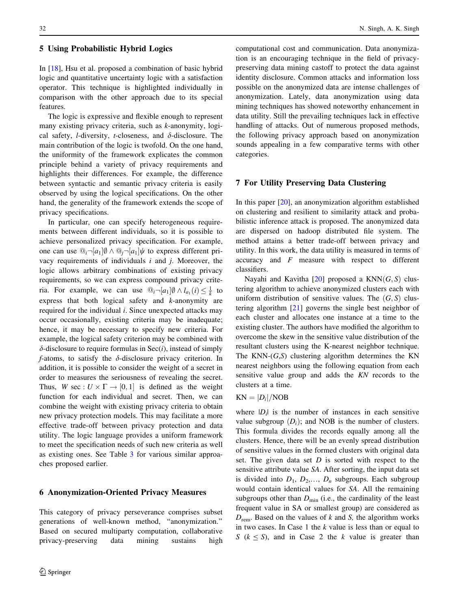#### 5 Using Probabilistic Hybrid Logics

In [[18\]](#page-14-0), Hsu et al. proposed a combination of basic hybrid logic and quantitative uncertainty logic with a satisfaction operator. This technique is highlighted individually in comparison with the other approach due to its special features.

The logic is expressive and flexible enough to represent many existing privacy criteria, such as k-anonymity, logical safety, *l*-diversity, *t*-closeness, and  $\delta$ -disclosure. The main contribution of the logic is twofold. On the one hand, the uniformity of the framework explicates the common principle behind a variety of privacy requirements and highlights their differences. For example, the difference between syntactic and semantic privacy criteria is easily observed by using the logical specifications. On the other hand, the generality of the framework extends the scope of privacy specifications.

In particular, one can specify heterogeneous requirements between different individuals, so it is possible to achieve personalized privacy specification. For example, one can use  $\mathbb{Q}_i \neg [a_1] \emptyset \wedge \mathbb{Q}_i \neg [a_1] \psi$  to express different privacy requirements of individuals  $i$  and  $j$ . Moreover, the logic allows arbitrary combinations of existing privacy requirements, so we can express compound privacy criteria. For example, we can use  $\mathbb{Q}_i \neg [a_1] \emptyset \wedge l_{a_1} (i) \leq \frac{1}{k}$  to express that both logical safety and k-anonymity are required for the individual i. Since unexpected attacks may occur occasionally, existing criteria may be inadequate; hence, it may be necessary to specify new criteria. For example, the logical safety criterion may be combined with  $\delta$ -disclosure to require formulas in Sec(*i*), instead of simply f-atoms, to satisfy the  $\delta$ -disclosure privacy criterion. In addition, it is possible to consider the weight of a secret in order to measures the seriousness of revealing the secret. Thus, W sec :  $U \times \Gamma \rightarrow [0, 1]$  is defined as the weight function for each individual and secret. Then, we can combine the weight with existing privacy criteria to obtain new privacy protection models. This may facilitate a more effective trade-off between privacy protection and data utility. The logic language provides a uniform framework to meet the specification needs of such new criteria as well as existing ones. See Table [3](#page-9-0) for various similar approaches proposed earlier.

## 6 Anonymization-Oriented Privacy Measures

This category of privacy perseverance comprises subset generations of well-known method, ''anonymization.'' Based on secured multiparty computation, collaborative privacy-preserving data mining sustains high computational cost and communication. Data anonymization is an encouraging technique in the field of privacypreserving data mining castoff to protect the data against identity disclosure. Common attacks and information loss possible on the anonymized data are intense challenges of anonymization. Lately, data anonymization using data mining techniques has showed noteworthy enhancement in data utility. Still the prevailing techniques lack in effective handling of attacks. Out of numerous proposed methods, the following privacy approach based on anonymization sounds appealing in a few comparative terms with other categories.

#### 7 For Utility Preserving Data Clustering

In this paper [[20\]](#page-14-0), an anonymization algorithm established on clustering and resilient to similarity attack and probabilistic inference attack is proposed. The anonymized data are dispersed on hadoop distributed file system. The method attains a better trade-off between privacy and utility. In this work, the data utility is measured in terms of accuracy and  $F$  measure with respect to different classifiers.

Nayahi and Kavitha  $[20]$  $[20]$  proposed a KNN $(G, S)$  clustering algorithm to achieve anonymized clusters each with uniform distribution of sensitive values. The  $(G, S)$  clustering algorithm [[21\]](#page-14-0) governs the single best neighbor of each cluster and allocates one instance at a time to the existing cluster. The authors have modified the algorithm to overcome the skew in the sensitive value distribution of the resultant clusters using the K-nearest neighbor technique. The KNN- $(G, S)$  clustering algorithm determines the KN nearest neighbors using the following equation from each sensitive value group and adds the KN records to the clusters at a time.

#### $KN = |D_i|/NOB$

where  $|D_i|$  is the number of instances in each sensitive value subgroup  $(D_i)$ ; and NOB is the number of clusters. This formula divides the records equally among all the clusters. Hence, there will be an evenly spread distribution of sensitive values in the formed clusters with original data set. The given data set  $D$  is sorted with respect to the sensitive attribute value SA. After sorting, the input data set is divided into  $D_1$ ,  $D_2$ ,...,  $D_n$  subgroups. Each subgroup would contain identical values for SA. All the remaining subgroups other than  $D_{\min}$  (i.e., the cardinality of the least frequent value in SA or smallest group) are considered as  $D_{\text{rem}}$ . Based on the values of k and S, the algorithm works in two cases. In Case 1 the  $k$  value is less than or equal to S ( $k \le S$ ), and in Case 2 the k value is greater than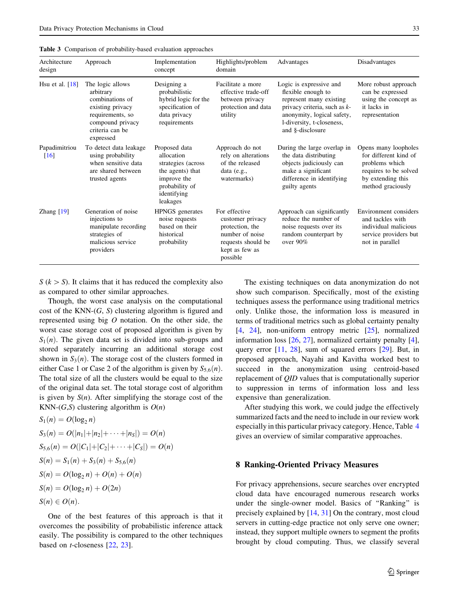<span id="page-9-0"></span>

|  |  |  | Table 3 Comparison of probability-based evaluation approaches |  |  |
|--|--|--|---------------------------------------------------------------|--|--|
|--|--|--|---------------------------------------------------------------|--|--|

| Architecture<br>design | Approach                                                                                                                                     | Implementation<br>concept                                                                                                         | Highlights/problem<br>domain                                                                                                | Advantages                                                                                                                                                                                 | Disadvantages                                                                                                                      |
|------------------------|----------------------------------------------------------------------------------------------------------------------------------------------|-----------------------------------------------------------------------------------------------------------------------------------|-----------------------------------------------------------------------------------------------------------------------------|--------------------------------------------------------------------------------------------------------------------------------------------------------------------------------------------|------------------------------------------------------------------------------------------------------------------------------------|
| Hsu et al. $[18]$      | The logic allows<br>arbitrary<br>combinations of<br>existing privacy<br>requirements, so<br>compound privacy<br>criteria can be<br>expressed | Designing a<br>probabilistic<br>hybrid logic for the<br>specification of<br>data privacy<br>requirements                          | Facilitate a more<br>effective trade-off<br>between privacy<br>protection and data<br>utility                               | Logic is expressive and<br>flexible enough to<br>represent many existing<br>privacy criteria, such as $k$ -<br>anonymity, logical safety,<br>1-diversity, t-closeness,<br>and §-disclosure | More robust approach<br>can be expressed<br>using the concept as<br>it lacks in<br>representation                                  |
| Papadimitriou<br>[16]  | To detect data leakage<br>using probability<br>when sensitive data<br>are shared between<br>trusted agents                                   | Proposed data<br>allocation<br>strategies (across<br>the agents) that<br>improve the<br>probability of<br>identifying<br>leakages | Approach do not<br>rely on alterations<br>of the released<br>data $(e.g.,$<br>watermarks)                                   | During the large overlap in<br>the data distributing<br>objects judiciously can<br>make a significant<br>difference in identifying<br>guilty agents                                        | Opens many loopholes<br>for different kind of<br>problems which<br>requires to be solved<br>by extending this<br>method graciously |
| Zhang $[19]$           | Generation of noise<br>injections to<br>manipulate recording<br>strategies of<br>malicious service<br>providers                              | <b>HPNGS</b> generates<br>noise requests<br>based on their<br>historical<br>probability                                           | For effective<br>customer privacy<br>protection, the<br>number of noise<br>requests should be<br>kept as few as<br>possible | Approach can significantly<br>reduce the number of<br>noise requests over its<br>random counterpart by<br>over 90%                                                                         | Environment considers<br>and tackles with<br>individual malicious<br>service providers but<br>not in parallel                      |

 $S (k > S)$ . It claims that it has reduced the complexity also as compared to other similar approaches.

Though, the worst case analysis on the computational cost of the KNN- $(G, S)$  clustering algorithm is figured and represented using big  $O$  notation. On the other side, the worst case storage cost of proposed algorithm is given by  $S_1(n)$ . The given data set is divided into sub-groups and stored separately incurring an additional storage cost shown in  $S_3(n)$ . The storage cost of the clusters formed in either Case 1 or Case 2 of the algorithm is given by  $S_{5,6}(n)$ . The total size of all the clusters would be equal to the size of the original data set. The total storage cost of algorithm is given by  $S(n)$ . After simplifying the storage cost of the KNN- $(G, S)$  clustering algorithm is  $O(n)$ 

$$
S_1(n) = O(\log_2 n)
$$
  
\n
$$
S_3(n) = O(|n_1| + |n_2| + \cdots + |n_S|) = O(n)
$$
  
\n
$$
S_{5,6}(n) = O(|C_1| + |C_2| + \cdots + |C_S|) = O(n)
$$
  
\n
$$
S(n) = S_1(n) + S_3(n) + S_{5,6}(n)
$$
  
\n
$$
S(n) = O(\log_2 n) + O(n) + O(n)
$$
  
\n
$$
S(n) = O(\log_2 n) + O(2n)
$$
  
\n
$$
S(n) \in O(n).
$$

One of the best features of this approach is that it overcomes the possibility of probabilistic inference attack easily. The possibility is compared to the other techniques based on t-closeness [[22,](#page-14-0) [23\]](#page-14-0).

The existing techniques on data anonymization do not show such comparison. Specifically, most of the existing techniques assess the performance using traditional metrics only. Unlike those, the information loss is measured in terms of traditional metrics such as global certainty penalty [\[4](#page-14-0), [24\]](#page-14-0), non-uniform entropy metric [[25\]](#page-14-0), normalized information loss [[26,](#page-14-0) [27](#page-14-0)], normalized certainty penalty [\[4](#page-14-0)], query error [[11,](#page-14-0) [28](#page-14-0)], sum of squared errors [\[29](#page-15-0)]. But, in proposed approach, Nayahi and Kavitha worked best to succeed in the anonymization using centroid-based replacement of QID values that is computationally superior to suppression in terms of information loss and less expensive than generalization.

After studying this work, we could judge the effectively summarized facts and the need to include in our review work especially in this particular privacy category. Hence, Table [4](#page-10-0) gives an overview of similar comparative approaches.

#### 8 Ranking-Oriented Privacy Measures

For privacy apprehensions, secure searches over encrypted cloud data have encouraged numerous research works under the single-owner model. Basics of ''Ranking'' is precisely explained by [[14,](#page-14-0) [31\]](#page-15-0) On the contrary, most cloud servers in cutting-edge practice not only serve one owner; instead, they support multiple owners to segment the profits brought by cloud computing. Thus, we classify several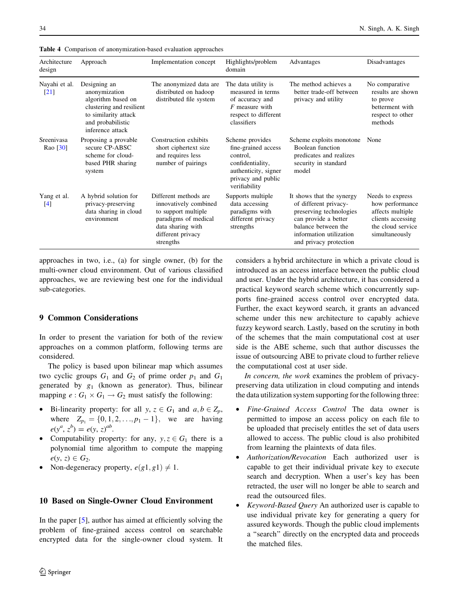| Architecture<br>design | Approach                                                                                                                                         | Implementation concept                                                                                                                               | Highlights/problem<br>domain                                                                                                          | Advantages                                                                                                                                                                        | Disadvantages                                                                                                       |
|------------------------|--------------------------------------------------------------------------------------------------------------------------------------------------|------------------------------------------------------------------------------------------------------------------------------------------------------|---------------------------------------------------------------------------------------------------------------------------------------|-----------------------------------------------------------------------------------------------------------------------------------------------------------------------------------|---------------------------------------------------------------------------------------------------------------------|
| Nayahi et al.<br>[21]  | Designing an<br>anonymization<br>algorithm based on<br>clustering and resilient<br>to similarity attack<br>and probabilistic<br>inference attack | The anonymized data are<br>distributed on hadoop<br>distributed file system                                                                          | The data utility is<br>measured in terms<br>of accuracy and<br>$F$ measure with<br>respect to different<br>classifiers                | The method achieves a<br>better trade-off between<br>privacy and utility                                                                                                          | No comparative<br>results are shown<br>to prove<br>betterment with<br>respect to other<br>methods                   |
| Sreenivasa<br>Rao [30] | Proposing a provable<br>secure CP-ABSC<br>scheme for cloud-<br>based PHR sharing<br>system                                                       | Construction exhibits<br>short ciphertext size<br>and requires less<br>number of pairings                                                            | Scheme provides<br>fine-grained access<br>control,<br>confidentiality,<br>authenticity, signer<br>privacy and public<br>verifiability | Scheme exploits monotone<br>Boolean function<br>predicates and realizes<br>security in standard<br>model                                                                          | None                                                                                                                |
| Yang et al.<br>[4]     | A hybrid solution for<br>privacy-preserving<br>data sharing in cloud<br>environment                                                              | Different methods are<br>innovatively combined<br>to support multiple<br>paradigms of medical<br>data sharing with<br>different privacy<br>strengths | Supports multiple<br>data accessing<br>paradigms with<br>different privacy<br>strengths                                               | It shows that the synergy<br>of different privacy-<br>preserving technologies<br>can provide a better<br>balance between the<br>information utilization<br>and privacy protection | Needs to express<br>how performance<br>affects multiple<br>clients accessing<br>the cloud service<br>simultaneously |

<span id="page-10-0"></span>Table 4 Comparison of anonymization-based evaluation approaches

approaches in two, i.e., (a) for single owner, (b) for the multi-owner cloud environment. Out of various classified approaches, we are reviewing best one for the individual sub-categories.

# 9 Common Considerations

In order to present the variation for both of the review approaches on a common platform, following terms are considered.

The policy is based upon bilinear map which assumes two cyclic groups  $G_1$  and  $G_2$  of prime order  $p_1$  and  $G_1$ generated by  $g_1$  (known as generator). Thus, bilinear mapping  $e: G_1 \times G_1 \rightarrow G_2$  must satisfy the following:

- Bi-linearity property: for all  $y, z \in G_1$  and  $a, b \in Z_p$ , where  $Z_{p_1} = \{0, 1, 2, \ldots, p_1 - 1\}$ , we are having  $e(y^a, z^b) = e(y, z)^{ab}.$
- Computability property: for any,  $y, z \in G_1$  there is a polynomial time algorithm to compute the mapping  $e(y, z) \in G_2$ .
- Non-degeneracy property,  $e(g1, g1) \neq 1$ .

## 10 Based on Single-Owner Cloud Environment

In the paper [[5\]](#page-14-0), author has aimed at efficiently solving the problem of fine-grained access control on searchable encrypted data for the single-owner cloud system. It considers a hybrid architecture in which a private cloud is introduced as an access interface between the public cloud and user. Under the hybrid architecture, it has considered a practical keyword search scheme which concurrently supports fine-grained access control over encrypted data. Further, the exact keyword search, it grants an advanced scheme under this new architecture to capably achieve fuzzy keyword search. Lastly, based on the scrutiny in both of the schemes that the main computational cost at user side is the ABE scheme, such that author discusses the issue of outsourcing ABE to private cloud to further relieve the computational cost at user side.

In concern, the work examines the problem of privacypreserving data utilization in cloud computing and intends the data utilization system supporting for the following three:

- Fine-Grained Access Control The data owner is permitted to impose an access policy on each file to be uploaded that precisely entitles the set of data users allowed to access. The public cloud is also prohibited from learning the plaintexts of data files.
- Authorization/Revocation Each authorized user is capable to get their individual private key to execute search and decryption. When a user's key has been retracted, the user will no longer be able to search and read the outsourced files.
- Keyword-Based Query An authorized user is capable to use individual private key for generating a query for assured keywords. Though the public cloud implements a ''search'' directly on the encrypted data and proceeds the matched files.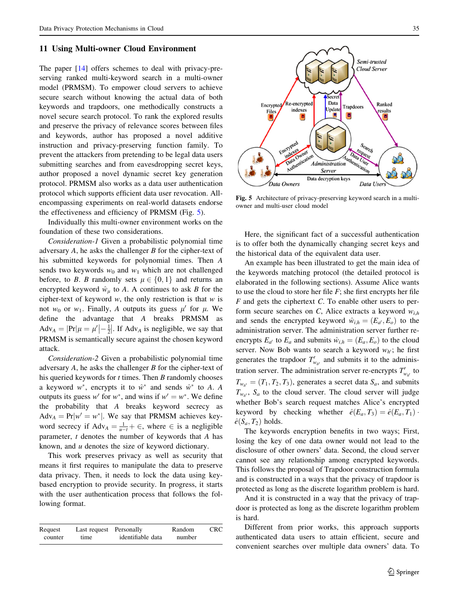#### 11 Using Multi-owner Cloud Environment

The paper [[14\]](#page-14-0) offers schemes to deal with privacy-preserving ranked multi-keyword search in a multi-owner model (PRMSM). To empower cloud servers to achieve secure search without knowing the actual data of both keywords and trapdoors, one methodically constructs a novel secure search protocol. To rank the explored results and preserve the privacy of relevance scores between files and keywords, author has proposed a novel additive instruction and privacy-preserving function family. To prevent the attackers from pretending to be legal data users submitting searches and from eavesdropping secret keys, author proposed a novel dynamic secret key generation protocol. PRMSM also works as a data user authentication protocol which supports efficient data user revocation. Allencompassing experiments on real-world datasets endorse the effectiveness and efficiency of PRMSM (Fig. 5).

Individually this multi-owner environment works on the foundation of these two considerations.

Consideration-1 Given a probabilistic polynomial time adversary  $A$ , he asks the challenger  $B$  for the cipher-text of his submitted keywords for polynomial times. Then A sends two keywords  $w_0$  and  $w_1$  which are not challenged before, to B. B randomly sets  $\mu \in \{0, 1\}$  and returns an encrypted keyword  $\hat{w}_{\mu}$  to A. A continues to ask B for the cipher-text of keyword  $w$ , the only restriction is that  $w$  is not  $w_0$  or  $w_1$ . Finally, A outputs its guess  $\mu'$  for  $\mu$ . We define the advantage that A breaks PRMSM as  $\text{Adv}_A = |\text{Pr}|\mu = \mu'| - \frac{1}{2}$  $\left|-\frac{1}{2}\right|$ . If Adv<sub>A</sub> is negligible, we say that PRMSM is semantically secure against the chosen keyword attack.

Consideration-2 Given a probabilistic polynomial time adversary A, he asks the challenger B for the cipher-text of his queried keywords for  $t$  times. Then  $B$  randomly chooses a keyword  $w^*$ , encrypts it to  $\hat{w}^*$  and sends  $\hat{w}^*$  to A. A outputs its guess w' for w<sup>\*</sup>, and wins if  $w' = w^*$ . We define the probability that A breaks keyword secrecy as  $Adv_A = Pr|w' = w^*|$ . We say that PRMSM achieves keyword secrecy if  $\text{Adv}_A = \frac{1}{u-t} + \epsilon$ , where  $\epsilon$  is a negligible parameter,  $t$  denotes the number of keywords that  $A$  has known, and  $u$  denotes the size of keyword dictionary.

This work preserves privacy as well as security that means it first requires to manipulate the data to preserve data privacy. Then, it needs to lock the data using keybased encryption to provide security. In progress, it starts with the user authentication process that follows the following format.

| Request | Last request Personally |                   | Random | <b>CRC</b> |
|---------|-------------------------|-------------------|--------|------------|
| counter | time                    | identifiable data | number |            |



Fig. 5 Architecture of privacy-preserving keyword search in a multiowner and multi-user cloud model

Here, the significant fact of a successful authentication is to offer both the dynamically changing secret keys and the historical data of the equivalent data user.

An example has been illustrated to get the main idea of the keywords matching protocol (the detailed protocol is elaborated in the following sections). Assume Alice wants to use the cloud to store her file  $F$ ; she first encrypts her file  $F$  and gets the ciphertext  $C$ . To enable other users to perform secure searches on C, Alice extracts a keyword  $w_{i,h}$ and sends the encrypted keyword  $\hat{w}_{i,h} = (E_{a'}, E_o)$  to the administration server. The administration server further reencrypts  $E_{a'}$  to  $E_a$  and submits  $\hat{w}_{i,h} = (E_a, E_o)$  to the cloud server. Now Bob wants to search a keyword  $w_{h'}$ ; he first generates the trapdoor  $T'_{w_{h'}}$  and submits it to the administration server. The administration server re-encrypts  $T'_{w_{h'}}$  to  $T_{w_{h'}} = (T_1, T_2, T_3)$ , generates a secret data  $S_a$ , and submits  $T_{w,v}$ ,  $S_a$  to the cloud server. The cloud server will judge whether Bob's search request matches Alice's encrypted keyword by checking whether  $\hat{e}(E_a, T_3) = \hat{e}(E_a, T_1)$ .  $\hat{e}(S_a, T_2)$  holds.

The keywords encryption benefits in two ways; First, losing the key of one data owner would not lead to the disclosure of other owners' data. Second, the cloud server cannot see any relationship among encrypted keywords. This follows the proposal of Trapdoor construction formula and is constructed in a ways that the privacy of trapdoor is protected as long as the discrete logarithm problem is hard.

And it is constructed in a way that the privacy of trapdoor is protected as long as the discrete logarithm problem is hard.

Different from prior works, this approach supports authenticated data users to attain efficient, secure and convenient searches over multiple data owners' data. To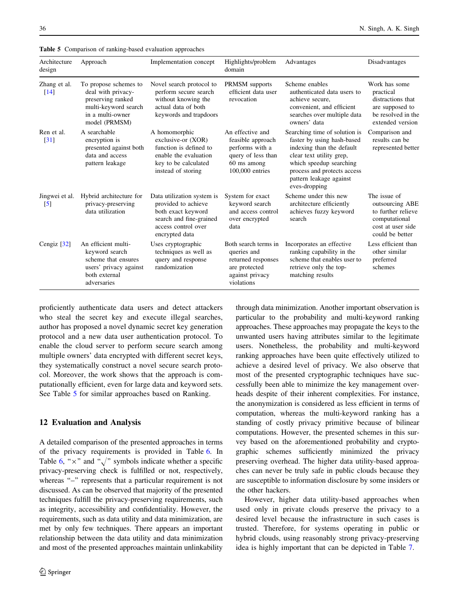| Architecture<br>design             | Approach                                                                                                                      | Implementation concept                                                                                                                      | Highlights/problem<br>domain                                                                                     | Advantages                                                                                                                                                                                                                 | Disadvantages                                                                                                  |
|------------------------------------|-------------------------------------------------------------------------------------------------------------------------------|---------------------------------------------------------------------------------------------------------------------------------------------|------------------------------------------------------------------------------------------------------------------|----------------------------------------------------------------------------------------------------------------------------------------------------------------------------------------------------------------------------|----------------------------------------------------------------------------------------------------------------|
| Zhang et al.<br>$\lceil 14 \rceil$ | To propose schemes to<br>deal with privacy-<br>preserving ranked<br>multi-keyword search<br>in a multi-owner<br>model (PRMSM) | Novel search protocol to<br>perform secure search<br>without knowing the<br>actual data of both<br>keywords and trapdoors                   | PRMSM supports<br>efficient data user<br>revocation                                                              | Scheme enables<br>authenticated data users to<br>achieve secure,<br>convenient, and efficient<br>searches over multiple data<br>owners' data                                                                               | Work has some<br>practical<br>distractions that<br>are supposed to<br>be resolved in the<br>extended version   |
| Ren et al.<br>[31]                 | A searchable<br>encryption is<br>presented against both<br>data and access<br>pattern leakage                                 | A homomorphic<br>exclusive-or (XOR)<br>function is defined to<br>enable the evaluation<br>key to be calculated<br>instead of storing        | An effective and<br>feasible approach<br>performs with a<br>query of less than<br>60 ms among<br>100,000 entries | Searching time of solution is<br>faster by using hash-based<br>indexing than the default<br>clear text utility grep,<br>which speedup searching<br>process and protects access<br>pattern leakage against<br>eves-dropping | Comparison and<br>results can be<br>represented better                                                         |
| Jingwei et al.<br>$\left[5\right]$ | Hybrid architecture for<br>privacy-preserving<br>data utilization                                                             | Data utilization system is<br>provided to achieve<br>both exact keyword<br>search and fine-grained<br>access control over<br>encrypted data | System for exact<br>keyword search<br>and access control<br>over encrypted<br>data                               | Scheme under this new<br>architecture efficiently<br>achieves fuzzy keyword<br>search                                                                                                                                      | The issue of<br>outsourcing ABE<br>to further relieve<br>computational<br>cost at user side<br>could be better |
| Cengiz $[32]$                      | An efficient multi-<br>keyword search<br>scheme that ensures<br>users' privacy against<br>both external<br>adversaries        | Uses cryptographic<br>techniques as well as<br>query and response<br>randomization                                                          | Both search terms in<br>queries and<br>returned responses<br>are protected<br>against privacy<br>violations      | Incorporates an effective<br>ranking capability in the<br>scheme that enables user to<br>retrieve only the top-<br>matching results                                                                                        | Less efficient than<br>other similar<br>preferred<br>schemes                                                   |

Table 5 Comparison of ranking-based evaluation approaches

proficiently authenticate data users and detect attackers who steal the secret key and execute illegal searches, author has proposed a novel dynamic secret key generation protocol and a new data user authentication protocol. To enable the cloud server to perform secure search among multiple owners' data encrypted with different secret keys, they systematically construct a novel secure search protocol. Moreover, the work shows that the approach is computationally efficient, even for large data and keyword sets. See Table 5 for similar approaches based on Ranking.

## 12 Evaluation and Analysis

A detailed comparison of the presented approaches in terms of the privacy requirements is provided in Table [6.](#page-13-0) In Table [6,](#page-13-0) " $\times$ " and " $\sqrt{ }$ " symbols indicate whether a specific privacy-preserving check is fulfilled or not, respectively, whereas "–" represents that a particular requirement is not discussed. As can be observed that majority of the presented techniques fulfill the privacy-preserving requirements, such as integrity, accessibility and confidentiality. However, the requirements, such as data utility and data minimization, are met by only few techniques. There appears an important relationship between the data utility and data minimization and most of the presented approaches maintain unlinkability through data minimization. Another important observation is particular to the probability and multi-keyword ranking approaches. These approaches may propagate the keys to the unwanted users having attributes similar to the legitimate users. Nonetheless, the probability and multi-keyword ranking approaches have been quite effectively utilized to achieve a desired level of privacy. We also observe that most of the presented cryptographic techniques have successfully been able to minimize the key management overheads despite of their inherent complexities. For instance, the anonymization is considered as less efficient in terms of computation, whereas the multi-keyword ranking has a standing of costly privacy primitive because of bilinear computations. However, the presented schemes in this survey based on the aforementioned probability and cryptographic schemes sufficiently minimized the privacy preserving overhead. The higher data utility-based approaches can never be truly safe in public clouds because they are susceptible to information disclosure by some insiders or the other hackers.

However, higher data utility-based approaches when used only in private clouds preserve the privacy to a desired level because the infrastructure in such cases is trusted. Therefore, for systems operating in public or hybrid clouds, using reasonably strong privacy-preserving idea is highly important that can be depicted in Table [7](#page-14-0).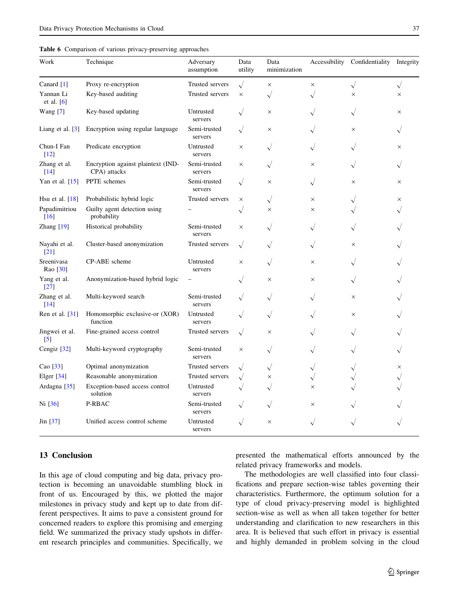<span id="page-13-0"></span>

| Table 6 Comparison of various privacy-preserving approaches |  |  |  |
|-------------------------------------------------------------|--|--|--|
|                                                             |  |  |  |

| Work                               | Technique                                          | Adversary<br>assumption | Data<br>utility | Data<br>minimization |              | Accessibility Confidentiality Integrity |           |
|------------------------------------|----------------------------------------------------|-------------------------|-----------------|----------------------|--------------|-----------------------------------------|-----------|
| Canard [1]                         | Proxy re-encryption                                | Trusted servers         | $\sqrt{}$       | $\times$             | $\times$     | $\sqrt{}$                               | $\sqrt{}$ |
| Yannan Li<br>et al. $[6]$          | Key-based auditing                                 | Trusted servers         | $\times$        | $\sqrt{}$            |              | $\times$                                | $\times$  |
| Wang $[7]$                         | Key-based updating                                 | Untrusted<br>servers    |                 | $\times$             |              |                                         | $\times$  |
| Liang et al. $[3]$                 | Encryption using regular language                  | Semi-trusted<br>servers | $\sqrt{}$       | $\times$             |              | $\times$                                |           |
| Chun-I Fan<br>$[12]$               | Predicate encryption                               | Untrusted<br>servers    | $\times$        | $\sqrt{}$            |              |                                         | $\times$  |
| Zhang et al.<br>$\lceil 14 \rceil$ | Encryption against plaintext (IND-<br>CPA) attacks | Semi-trusted<br>servers | ×               |                      | $\times$     |                                         |           |
| Yan et al. [15]                    | PPTE schemes                                       | Semi-trusted<br>servers |                 | $\times$             | $\sqrt{}$    | $\times$                                | $\times$  |
| Hsu et al. $[18]$                  | Probabilistic hybrid logic                         | Trusted servers         | $\times$        | $\sqrt{}$            | $\times$     |                                         | ×         |
| Papadimitriou<br>$[16]$            | Guilty agent detection using<br>probability        |                         | $\sqrt{}$       | $\times$             | $\times$     |                                         |           |
| Zhang [19]                         | Historical probability                             | Semi-trusted<br>servers | $\times$        |                      |              |                                         |           |
| Nayahi et al.<br>$[21]$            | Cluster-based anonymization                        | Trusted servers         | $\sqrt{}$       | $\sqrt{}$            |              | $\times$                                |           |
| Sreenivasa<br>Rao [30]             | CP-ABE scheme                                      | Untrusted<br>servers    | $\times$        | $\checkmark$         | $\times$     |                                         |           |
| Yang et al.<br>$[27]$              | Anonymization-based hybrid logic                   |                         |                 | $\times$             | X            |                                         |           |
| Zhang et al.<br>$[14]$             | Multi-keyword search                               | Semi-trusted<br>servers |                 | $\sqrt{}$            |              | $\times$                                |           |
| Ren et al. [31]                    | Homomorphic exclusive-or (XOR)<br>function         | Untrusted<br>servers    |                 | $\sqrt{}$            |              | $\times$                                |           |
| Jingwei et al.<br>$\left[5\right]$ | Fine-grained access control                        | Trusted servers         | $\sqrt{}$       | ×                    |              |                                         |           |
| Cengiz [32]                        | Multi-keyword cryptography                         | Semi-trusted<br>servers | $\times$        | $\sqrt{}$            |              |                                         |           |
| Cao [33]                           | Optimal anonymization                              | Trusted servers         |                 | $\sqrt{}$            | $\sqrt{}$    |                                         | $\times$  |
| Elger [34]                         | Reasonable anonymization                           | Trusted servers         |                 | $\times$             | $\checkmark$ |                                         |           |
| Ardagna <sup>[35]</sup>            | Exception-based access control<br>solution         | Untrusted<br>servers    |                 |                      | ×            |                                         |           |
| Ni [36]                            | P-RBAC                                             | Semi-trusted<br>servers |                 |                      | ×            |                                         |           |
| Jin $\left[37\right]$              | Unified access control scheme                      | Untrusted<br>servers    | $\sqrt{}$       | $\times$             | $\sqrt{}$    |                                         |           |

## 13 Conclusion

In this age of cloud computing and big data, privacy protection is becoming an unavoidable stumbling block in front of us. Encouraged by this, we plotted the major milestones in privacy study and kept up to date from different perspectives. It aims to pave a consistent ground for concerned readers to explore this promising and emerging field. We summarized the privacy study upshots in different research principles and communities. Specifically, we presented the mathematical efforts announced by the related privacy frameworks and models.

The methodologies are well classified into four classifications and prepare section-wise tables governing their characteristics. Furthermore, the optimum solution for a type of cloud privacy-preserving model is highlighted section-wise as well as when all taken together for better understanding and clarification to new researchers in this area. It is believed that such effort in privacy is essential and highly demanded in problem solving in the cloud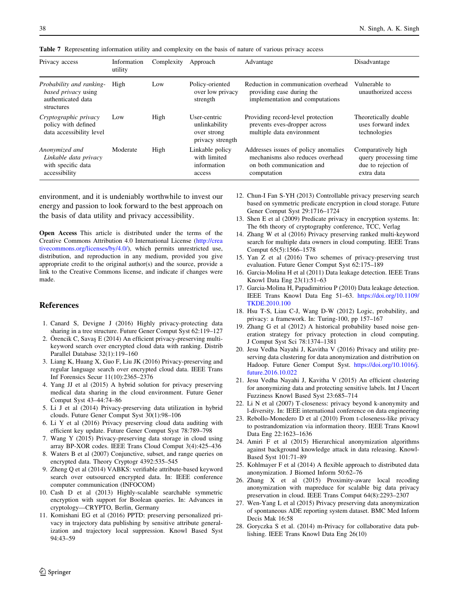| Privacy access                                                                             | Information<br>utility | Complexity | Approach                                                         | Advantage                                                                                                            | Disadvantage                                                                     |
|--------------------------------------------------------------------------------------------|------------------------|------------|------------------------------------------------------------------|----------------------------------------------------------------------------------------------------------------------|----------------------------------------------------------------------------------|
| Probability and ranking-<br><i>based privacy</i> using<br>authenticated data<br>structures | High                   | Low        | Policy-oriented<br>over low privacy<br>strength                  | Reduction in communication overhead<br>providing ease during the<br>implementation and computations                  | Vulnerable to<br>unauthorized access                                             |
| Cryptographic privacy<br>policy with defined<br>data accessibility level                   | Low                    | High       | User-centric<br>unlinkability<br>over strong<br>privacy strength | Providing record-level protection<br>prevents eves-dropper across<br>multiple data environment                       | Theoretically doable<br>uses forward index<br>technologies                       |
| Anonymized and<br>Linkable data privacy<br>with specific data<br>accessibility             | Moderate               | High       | Linkable policy<br>with limited<br>information<br>access         | Addresses issues of policy anomalies<br>mechanisms also reduces overhead<br>on both communication and<br>computation | Comparatively high<br>query processing time<br>due to rejection of<br>extra data |

<span id="page-14-0"></span>Table 7 Representing information utility and complexity on the basis of nature of various privacy access

environment, and it is undeniably worthwhile to invest our energy and passion to look forward to the best approach on the basis of data utility and privacy accessibility.

Open Access This article is distributed under the terms of the Creative Commons Attribution 4.0 International License ([http://crea](http://creativecommons.org/licenses/by/4.0/) [tivecommons.org/licenses/by/4.0/\)](http://creativecommons.org/licenses/by/4.0/), which permits unrestricted use, distribution, and reproduction in any medium, provided you give appropriate credit to the original author(s) and the source, provide a link to the Creative Commons license, and indicate if changes were made.

## References

- 1. Canard S, Devigne J (2016) Highly privacy-protecting data sharing in a tree structure. Future Gener Comput Syst 62:119–127
- 2. Orencik C, Savas  $E(2014)$  An efficient privacy-preserving multikeyword search over encrypted cloud data with ranking. Distrib Parallel Database 32(1):119–160
- 3. Liang K, Huang X, Guo F, Liu JK (2016) Privacy-preserving and regular language search over encrypted cloud data. IEEE Trans Inf Forensics Secur 11(10):2365–2376
- 4. Yang JJ et al (2015) A hybrid solution for privacy preserving medical data sharing in the cloud environment. Future Gener Comput Syst 43–44:74–86
- 5. Li J et al (2014) Privacy-preserving data utilization in hybrid clouds. Future Gener Comput Syst 30(1):98–106
- 6. Li Y et al (2016) Privacy preserving cloud data auditing with efficient key update. Future Gener Comput Syst 78:789–798
- 7. Wang Y (2015) Privacy-preserving data storage in cloud using array BP-XOR codes. IEEE Trans Cloud Comput 3(4):425–436
- 8. Waters B et al (2007) Conjunctive, subset, and range queries on encrypted data. Theory Cryptogr 4392:535–545
- 9. Zheng Q et al (2014) VABKS: verifiable attribute-based keyword search over outsourced encrypted data. In: IEEE conference computer communication (INFOCOM)
- 10. Cash D et al (2013) Highly-scalable searchable symmetric encryption with support for Boolean queries. In: Advances in cryptology—CRYPTO, Berlin, Germany
- 11. Komishani EG et al (2016) PPTD: preserving personalized privacy in trajectory data publishing by sensitive attribute generalization and trajectory local suppression. Knowl Based Syst 94:43–59
- 12. Chun-I Fan S-YH (2013) Controllable privacy preserving search based on symmetric predicate encryption in cloud storage. Future Gener Comput Syst 29:1716–1724
- 13. Shen E et al (2009) Predicate privacy in encryption systems. In: The 6th theory of cryptography conference, TCC, Verlag
- 14. Zhang W et al (2016) Privacy preserving ranked multi-keyword search for multiple data owners in cloud computing. IEEE Trans Comput 65(5):1566–1578
- 15. Yan Z et al (2016) Two schemes of privacy-preserving trust evaluation. Future Gener Comput Syst 62:175–189
- 16. Garcia-Molina H et al (2011) Data leakage detection. IEEE Trans Knowl Data Eng 23(1):51–63
- 17. Garcia-Molina H, Papadimitriou P (2010) Data leakage detection. IEEE Trans Knowl Data Eng 51–63. [https://doi.org/10.1109/](https://doi.org/10.1109/TKDE.2010.100) [TKDE.2010.100](https://doi.org/10.1109/TKDE.2010.100)
- 18. Hsu T-S, Liau C-J, Wang D-W (2012) Logic, probability, and privacy: a framework. In: Turing-100, pp 157–167
- 19. Zhang G et al (2012) A historical probability based noise generation strategy for privacy protection in cloud computing. J Comput Syst Sci 78:1374–1381
- 20. Jesu Vedha Nayahi J, Kavitha V (2016) Privacy and utility preserving data clustering for data anonymization and distribution on Hadoop. Future Gener Comput Syst. [https://doi.org/10.1016/j.](https://doi.org/10.1016/j.future.2016.10.022) [future.2016.10.022](https://doi.org/10.1016/j.future.2016.10.022)
- 21. Jesu Vedha Nayahi J, Kavitha V (2015) An efficient clustering for anonymizing data and protecting sensitive labels. Int J Uncert Fuzziness Knowl Based Syst 23:685–714
- 22. Li N et al (2007) T-closeness: privacy beyond k-anonymity and l-diversity. In: IEEE international conference on data engineering
- 23. Rebollo-Monedero D et al (2010) From t-closeness-like privacy to postrandomization via information theory. IEEE Trans Knowl Data Eng 22:1623–1636
- 24. Amiri F et al (2015) Hierarchical anonymization algorithms against background knowledge attack in data releasing. Knowl-Based Syst 101:71–89
- 25. Kohlmayer F et al (2014) A flexible approach to distributed data anonymization. J Biomed Inform 50:62–76
- 26. Zhang X et al (2015) Proximity-aware local recoding anonymization with mapreduce for scalable big data privacy preservation in cloud. IEEE Trans Comput 64(8):2293–2307
- 27. Wen-Yang L et al (2015) Privacy preserving data anonymization of spontaneous ADE reporting system dataset. BMC Med Inform Decis Mak 16:58
- 28. Goryczka S et al. (2014) m-Privacy for collaborative data publishing. IEEE Trans Knowl Data Eng 26(10)